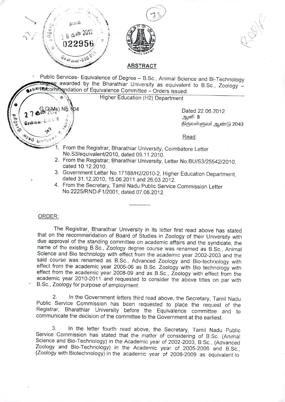

 $\sqrt{2}$ 



" \ **•.**,"**\..**".~**., ..** *-.\ I*  $\cup \geq$ ~

## **ABSTRACT**

Public Services- Equivalence of Degree - B.Sc., Animal Science and Bi-Technology aree awarded by the Bharathiar University as equivalent to B.Sc., Zoology un Recommendation of Equivalence Committee - Orders issued.

Higher Education (H2) Department

 $\frac{1}{2}$ (Ms) No. 104 Dated 22.06.2012  $\frac{1}{2}$ . **~ QSG!""'"** j;.l; CO .; /) ~<!56lJ6ir(56lJrr ~6llirrCbi 2043

**Read: Read:** 

- From the Registrar, Bharathiar University, Coimbatore Letter No.S3/equivalent/2010, dated 09.11.2010.
- 2. From the Registrar, Bharathiar University, Letter NO.BU/S3/25542/2010. dated 10.12.2010.
- 3. Government Letter NO.17188/H2/2010-2, Higher Education Department, dated 31.12.2010, 15.06.2011 and 26.03.2012.
- 4. From the Secretary, Tamil Nadu Public Service Commission Letter NO.2225/RND-F1/2001, dated 07.06.2012.

## ORDER:

**? .....** *GJ* \@ ..f. ~. .'*1*

The Registrar, Bharathiar University in its letter first read above has stated that on the recommendation of Board of Studies in Zoology of their University with due approval of the standing committee on academic affairs and the syndicate, the name of the existing B.Sc., Zoology degree course was renamed as B.Sc., Animal Science and Bio technology with effect from the academic year 2002-2003 and the said course was renamed as B.Sc., Advanced Zoology and Bio-technology with effect from the academic year 2005-06 as B.Sc. Zoology with Bio technology with effect from the academic year 2008-09 and as B.Sc., Zoology with effect from the academic year 2010-2011 and requested to consider the above titles on par with B.Sc., Zoology for purpose of employment.

2. In the Government letters third read above, the Secretary, Tamil Nadu Public Service Commission has been requested to place the request of the Registrar, Bharathiar University before the Equivalence committee and to communicate the decision of the committee to the Government at the earliest.

3. In the letter fourth read above, the Secretary, Tamil Nadu Public Service Commission has stated that the matter of considering of B.Sc. (Animal Science and Bio-Technology) in the Academic year of 2002-2003, B.Sc, (Advanced Zoology and Bio-Technology) in the Academic year of 2005-2006 and B.Sc., (Zoology with Biotechnology) in the academic year of 2008-2009 as equivalent to